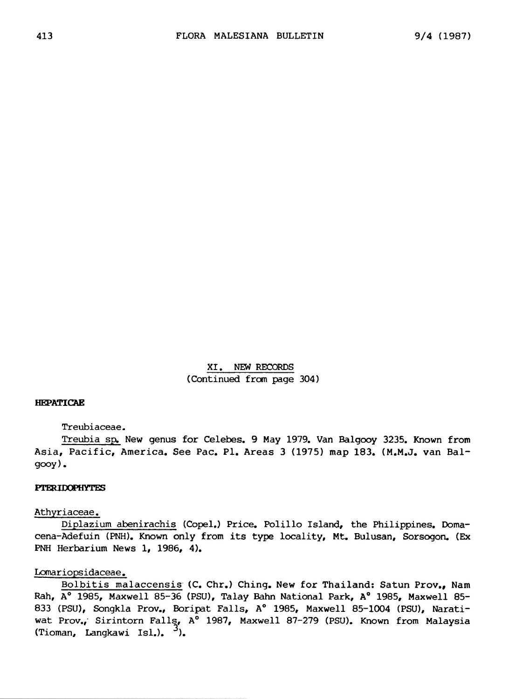XI. New records (Continued from page 304)

## HEPATICAE

Treubiaceae.

Treubia sp. New genus for Celebes. <sup>9</sup> May 1979. Van Balgooy 3235. Known from Asia, Pacific, America. See Pac. Pl. Areas <sup>3</sup> (1975) map 183. (M.M.J. van Balgooy).

#### PTERIDOPHYTES

### Athyriaceae.

Diplazium abenirachis (Copel.) Price. Polillo Island, the Philippines. Domacena-Adefuin (PNH). Known only from its type locality, Mt. Bulusan, Sorsogon. (Ex PNH Herbarium News 1, 1986, 4).

# Lomariopsidaceae.

Bolbitis malaccensis (C. Chr.) Ching. New for Thailand: Satun Prov., Nam Rah, A° 1985, Maxwell 85-36 (PSU), Talay Bahn National Park, A° 1985, Maxwell 85- 833 (PSU), Songkla Prov., Boripat Falls, A° 1985, Maxwell 85-1004 (PSU), Narati wat Prov., Sirintorn Falls, A° 1987, Maxwell 87-279 (PSU). Known from Malaysia (Tioman, Langkawi Isl.).  $3$ ).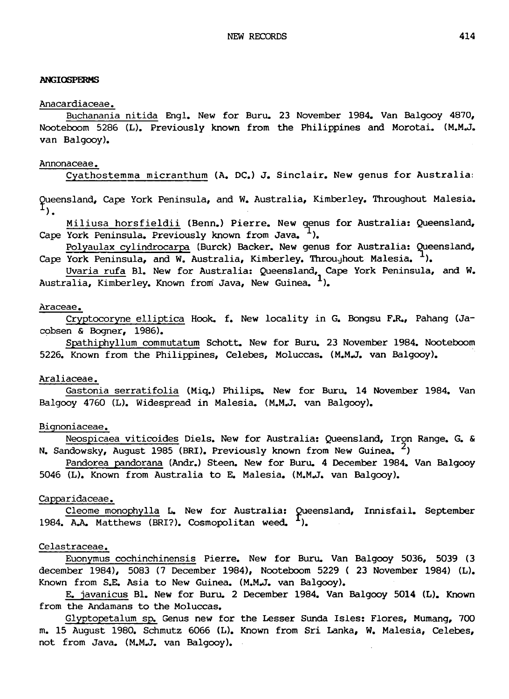### ANGIOSPERMS

#### Anacardiaceae.

Buchanania nitida Engl. New for Buru. <sup>23</sup> November 1984. Van Balgooy 4870, Nooteboom <sup>5286</sup> (L). Previously known from the Philippines and Morotai. (M.M.J. van Balgooy).

## Annonaceae.

Cyathostemma micranthum (A. DC.) J. Sinclair. New genus for Australia

Queensland, Cape York Peninsula, and W. Australia, Kimberley, Throughout Malesia.<br><sup>1</sup>).

Miliusa horsfieldii (Benn.) Pierre. New genus for Australia: Queensland, Cape York Peninsula. Previously known from Java. <sup>1</sup>).

Polyaulax cylindrocarpa (Burck) Backer. New genus for Australia: Queensland, Cape York Peninsula, and W. Australia, Kimberley. Throughout Malesia. <sup>1</sup>).

Uvaria rufa Bl. New for Australia: Queensland, Cape York Peninsula, and W. Australia, Kimberley. Known from Java, New Guinea.  $<sup>1</sup>$ .</sup>

### Araceae.

Cryptocoryne elliptica Hook. f. New locality in G. Bongsu F.R., Pahang (Jacobsen & Bogner, 1986).

Spathiphyllum commutatum Schott. New for Buru. <sup>23</sup> November 1984. Nooteboom 5226. Known from the Philippines, Celebes, Moluccas. (M.M.J, van Balgooy).

### Araliaceae.

Gastonia serratifolia (Miq.) Philips. New for Buru. <sup>14</sup> November 1984. Van Balgooy <sup>4760</sup> (L). Widespread in Malesia. (M.M.J. van Balgooy).

## Bignoniaceae.

Neospicaea viticoides Diels. New for Australia: Queensland, Iron Range. G. & N. Sandowsky, August 1985 (BRI). Previously known from New Guinea.  $\frac{2}{3}$ 

Pandorea pandorana (Andr.) Steen. New for Buru. <sup>4</sup> December 1984. Van Balgooy <sup>5046</sup> (L). Known from Australia to E. Malesia. (M.M.J. van Balgooy).

## Capparidaceae.

Cleome monophylla L. New for Australia: Queensland, Innisfail. September 1984. A.A. Matthews (BRI?). Cosmopolitan weed.  $^{I}$ ).

### Celastraceae.

Euonymus cochinchinensis Pierre. New for Buru. Van Balgooy 5036, <sup>5039</sup> (3 december 1984), 5083 (7 December 1984), Nooteboom 5229 ( 23 November 1984) (L). Known from S.E. Asia to New Guinea. (M.M.J. van Balgooy).

E. javanicus Bl. New for Buru. <sup>2</sup> December 1984. Van Balgooy <sup>5014</sup> (L). Known from the Andamans to the Moluccas.

Glyptopetalum sp. Genus new for the Lesser Sunda Isles: Flores, Mumang, <sup>700</sup> m. <sup>15</sup> August 1980. Schmutz 6066 (L). Known from Sri Lanka, W. Malesia, Celebes, not from Java. (M.M.J, van Balgooy).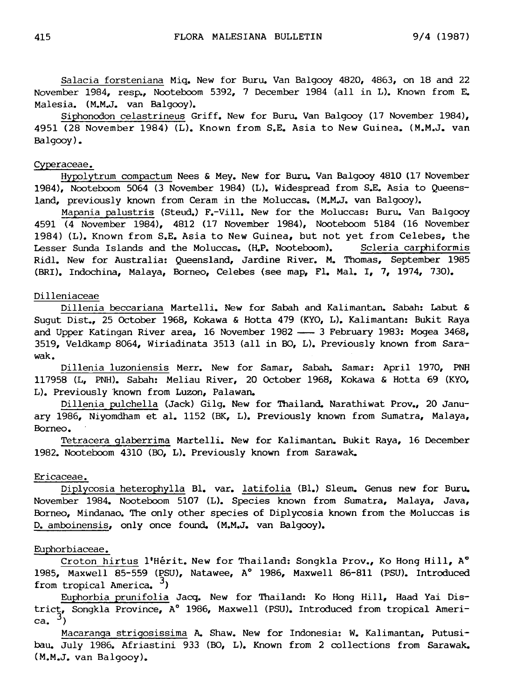Salacia forsteniana Miq. New for Buru. Van Balgooy 4820, 4863, on <sup>18</sup> and <sup>22</sup> November 1984, resp., Nooteboom 5392, <sup>7</sup> December <sup>1984</sup> (all in L). Known from E. Malesia. (M.M.J, van Balgooy).

Siphonodon celastrineus Griff. New for Buru. Van Balgooy (17 November 1984), 4951 (28 November 1984) (L). Known from S.E. Asia to New Guinea. (M.M.J, van Balgooy).

# Cyperaceae.

Hypolytrum compactum Nees & Mey. New for Buru. Van Balgooy 4810 (17 November 1984), Nooteboom <sup>5064</sup> (3 November 1984) (L). Widespread from S.E. Asia to Queensland, previously known from Ceram in the Moluccas. (M.M.J, van Balgooy).

Mapania palustris (Steud.) F.-Vill. New for the Moluccas: Buru. Van Balgooy 4591 (4 November 1984), 4812 (17 November 1984), Nooteboom 5184 (16 November 1984) (L). Known from S.E. Asia to New Guinea, but not yet from Celebes, the Lesser Sunda Islands and the Moluccas. (H.P. Nooteboom). Scleria carphiformis Ridl. New for Australia: Queensland, Jardine River. M. Thomas, September 1985 (BRI). Indochina, Malaya, Borneo, Celebes (see map, Fl. Mai. I, 7, 1974, 730).

#### Dilleniaceae

Dillenia beccariana Martelli. New for Sabah and Kalimantan. Sabah: Labut & Sugut Dist., <sup>25</sup> October 1968, Kokawa & Hotta <sup>479</sup> (KYO, L). Kalimantan: Bukit Raya and Upper Katingan River area, 16 November 1982 - 3 February 1983: Mogea 3468, 3519, Veldkamp 8064, Wiriadinata <sup>3513</sup> (all in BO, L). Previously known from Sarawak.

Dillenia luzoniensis Merr. New for Samar, Sabah. Samar: April 1970, PNH 117958 (L, PNH). Sabah: Meliau River, 20 October 1968, Kokawa & Hotta 69 (KYO, L). Previously known from Luzon, Palawan.

Dillenia pulchella (Jack) Gilg. New for Thailand. Narathiwat Prov., <sup>20</sup> January 1986, Niyomdham et al. <sup>1152</sup> (BK, L). Previously known from Sumatra, Malaya, Borneo.

Tetracera glaberrima Martelli. New for Kalimantan. Bukit Raya, <sup>16</sup> December 1982. Nooteboom 4310 (BO, L). Previously known from Sarawak.

#### Ericaceae.

Diplycosia heterophylla Bl. var. latifolia (Bl.) Sleum. Genus new for Buru. November 1984. Nooteboom 5107 (L). Species known from Sumatra, Malaya, Java, Borneo, Mindanao. The only other species of Diplycosia known from the Moluccas is D. amboinensis, only once found. (M.M.J, van Balgooy).

### Euphorbiaceae.

Croton hirtus l'Hérit. New for Thailand: Songkla Prov., Ko Hong Hill, A° 1985, Maxwell 85-559 (PSU), Natawee, A° 1986, Maxwell 86-811 (PSU). Introduced from tropical America.  $3$ )

Euphorbia prunifolia Jacq. New for Thailand: Ko Hong Hill, Haad Yai District, Songkla Province, A° 1986, Maxwell (PSU). Introduced from tropical America.  $^3)$ 

Macaranga strigosissima A. Shaw. New for Indonesia: W. Kalimantan, Putusibau. July 1986. Afriastini <sup>933</sup> (BO, L). Known from <sup>2</sup> collections from Sarawak. (M.M.J, van Balgooy).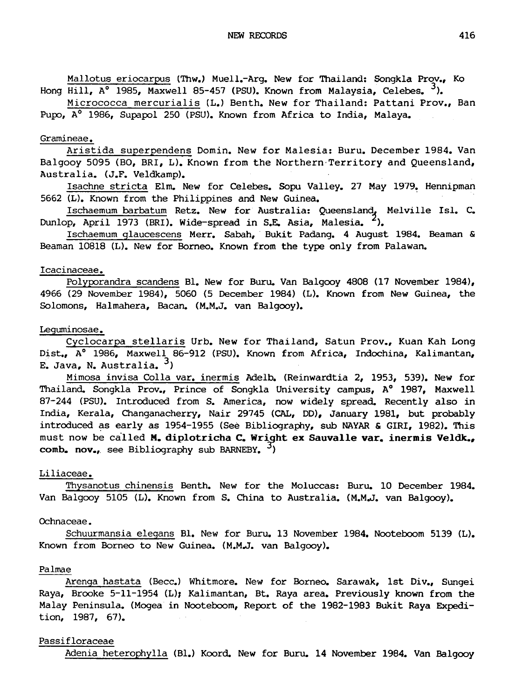Mallotus eriocarpus (Thw.) Muell.-Arg. New for Thailand: Songkla Prov., Ko Hong Hill, A° 1985, Maxwell 85-457 (PSU). Known from Malaysia, Celebes. <sup>3</sup>).

Micrococca mercurialis (L.) Benth. New for Thailand: Pattani Prov., Ban Pupo, A<sup>o</sup> 1986, Supapol 250 (PSU). Known from Africa to India, Malaya.

### Gramineae.

Aristida superpendens Domin. New for Malesia: Buru. December 1984. Van Balgooy 5095 (BO, BRI, L). Known from the Northern Territory and Queensland, Australia. (J.F. Veldkamp).

Isachne stricta Elm. New for Celebes. Sopu Valley. <sup>27</sup> May 1979. Hennipman 5662 (L). Known from the Philippines and New Guinea.

Ischaemum barbatum Retz. New for Australia: Queensland, Melville Isl. C. Dunlop, April 1973 (BRI). Wide-spread in S.E. Asia, Malesia.  $\frac{2}{3}$ .

Ischaemum glaucescens Merr. Sabah, Bukit Padang. <sup>4</sup> August 1984. Beaman & Beaman 10818 (L). New for Borneo. Known from the type only from Palawan.

## Icacinaceae.

Polyporandra scandens Bl. New for Buru. Van Balgooy 4808 (17 November 1984), 4966 (29 November 1984), 5060 (5 December 1984) (L). Known from New Guinea, the Solomons, Halmahera, Bacan. (M.M.J, van Balgooy).

### Leguminosae.

Cyclocarpa stellaris Urb. New for Thailand, Satun Prov., Kuan Kah Long Dist., A° 1986, Maxwell 86-912 (PSU). Known from Africa, Indochina, Kalimantan, E. Java, N. Australia.  $3$ )

Mimosa invisa Colla var. inermis Adelb. (Reinwardtia 2, 1953, 539). New for Thailand. Songkla Prov., Prince of Songkla University campus, A° 1987, Maxwell 87-244 (PSU). Introduced from S. America, now widely spread. Recently also in India, Kerala, Changanacherry, Nair 29745 (CAL, DD), January 1981, but probably introduced as early as 1954-1955 (See Bibliography, sub NAYAR & GIRI, 1982). This must now be called M. diplotricha C. Wright ex Sauvalle var. inermis Veldk.,  $comb_{\bullet}$  nov., see Bibliography sub BARNEBY.  $3)$ 

### Liliaceae.

Thysanotus chinensis Benth. New for the Moluccas: Buru. <sup>10</sup> December 1984. Van Balgooy 5105 (L). Known from S. China to Australia. (M.M.J. van Balgooy).

## Ochnaceae.

Schuurmansia elegans Bl. New for Buru. <sup>13</sup> November 1984. Nooteboom 5139 (L). Known from Borneo to New Guinea. (M.M.J. van Balgooy).

## Palmae

Arenga hastata (Becc.) Whitmore. New for Borneo. Sarawak, 1st Div., Sungei Raya, Brooke 5-11-1954 (L); Kalimantan, Bt. Raya area. Previously known from the Malay Peninsula. (Mogea in Nooteboom, Report of the 1982-1983 Bukit Raya Expedition, 1987, 67).

# Passifloraceae

Adenia heterophylla (Bl.) Koord. New for Buru. <sup>14</sup> November 1984. Van Balgooy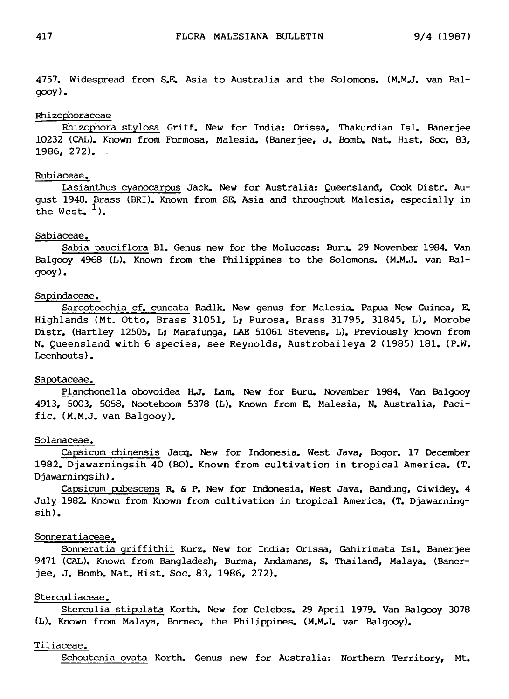4757. Widespread from S.E. Asia to Australia and the Solomons. (M.M.J, van Balgooy).

### Rhizophoraceae

Rhizophora stylosa Griff. New for India: Orissa, Thakurdian Isl. Banerjee 10232 (CAL). Known from Formosa, Malesia. (Banerjee, J. Bomb. Nat. Hist. Soc. 83, 1986, 272).

# Rubiaceae.

Lasianthus cyanocarpus Jack. New for Australia: Queensland, Cook Distr. August 1948. Brass (BRI). Known from SE. Asia and throughout Malesia, especially in the West.  $<sup>1</sup>$ .</sup>

## Sabiaceae.

Sabia pauciflora Bl. Genus new for the Moluccas: Buru. <sup>29</sup> November 1984. Van Balgooy 4968 (L). Known from the Philippines to the Solomons. (M.M.J, van Balgooy).

#### Sapindaceae.

Sarcotoechia cf. cuneata Radlk. New genus for Malesia. Papua New Guinea, E. Highlands (Mt. Otto, Brass 31051, L; Purosa, Brass 31795, 31845, L), Morobe Distr. (Hartley 12505, L; Marafunga, LAE 51061 Stevens, L). Previously known from N. Queensland with <sup>6</sup> species, see Reynolds, Austrobaileya <sup>2</sup> (1985) 181. (P.W. Leenhouts).

#### Sapotaceae.

Planchonella obovoidea H.J. Lam. New for Buru. November 1984. Van Balgooy 4913, 5003, 5058, Nooteboom 5378 (L). Known from E. Malesia, N. Australia, Pacific. (M.M.J, van Balgooy).

### Solanaceae.

Capsicum chinensis Jacq. New for Indonesia. West Java, Bogor. <sup>17</sup> December 1982. Djawarningsih <sup>40</sup> (BO). Known from cultivation in tropical America. (T. Djawarningsih).

Capsicum pubescens R. & P. New for Indonesia. West Java, Bandung, Ciwidey. <sup>4</sup> July 1982. Known from Known from cultivation in tropical America. (T. Djawarningsih).

### Sonneratiaceae.

Sonneratia griffithii Kurz. New for India: Orissa, Gahirimata Isl. Banerjee 9471 (CAL). Known from Bangladesh, Burma, Andamans, S. Thailand, Malaya. (Banerjee, J. Bomb. Nat. Hist. Soc. 83, 1986, 272).

#### Sterculiaceae.

Sterculia stipulata Korth. New for Celebes. <sup>29</sup> April 1979. Van Balgooy <sup>3078</sup> (L). Known from Malaya, Borneo, the Philippines. (M.M.J, van Balgooy).

#### Tiliaceae.

Schoutenia ovata Korth. Genus new for Australia: Northern Territory, Mt.